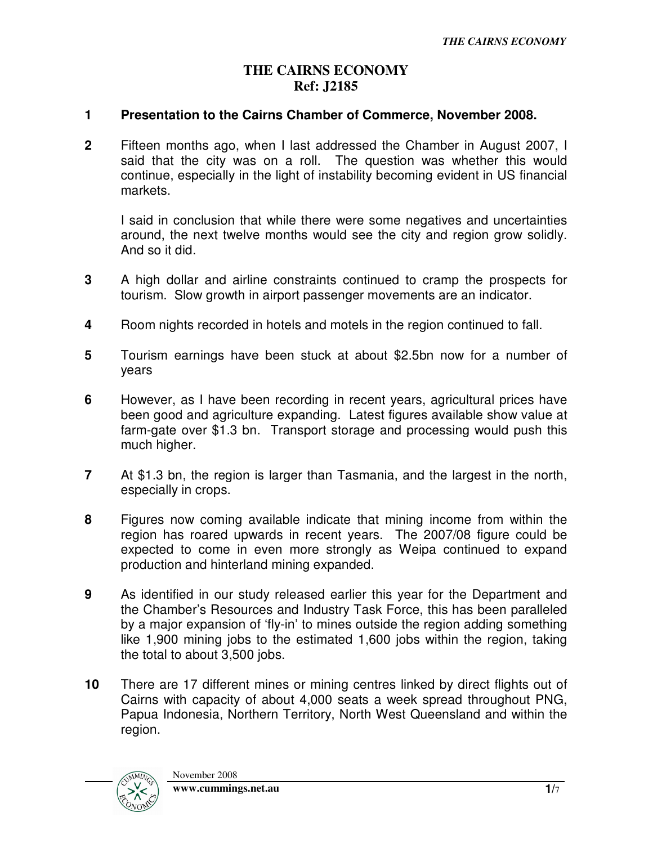## **THE CAIRNS ECONOMY Ref: J2185**

## **1 Presentation to the Cairns Chamber of Commerce, November 2008.**

**2** Fifteen months ago, when I last addressed the Chamber in August 2007, I said that the city was on a roll. The question was whether this would continue, especially in the light of instability becoming evident in US financial markets.

I said in conclusion that while there were some negatives and uncertainties around, the next twelve months would see the city and region grow solidly. And so it did.

- **3** A high dollar and airline constraints continued to cramp the prospects for tourism. Slow growth in airport passenger movements are an indicator.
- **4** Room nights recorded in hotels and motels in the region continued to fall.
- **5** Tourism earnings have been stuck at about \$2.5bn now for a number of years
- **6** However, as I have been recording in recent years, agricultural prices have been good and agriculture expanding. Latest figures available show value at farm-gate over \$1.3 bn. Transport storage and processing would push this much higher.
- **7** At \$1.3 bn, the region is larger than Tasmania, and the largest in the north, especially in crops.
- **8** Figures now coming available indicate that mining income from within the region has roared upwards in recent years. The 2007/08 figure could be expected to come in even more strongly as Weipa continued to expand production and hinterland mining expanded.
- **9** As identified in our study released earlier this year for the Department and the Chamber's Resources and Industry Task Force, this has been paralleled by a major expansion of 'fly-in' to mines outside the region adding something like 1,900 mining jobs to the estimated 1,600 jobs within the region, taking the total to about 3,500 jobs.
- **10** There are 17 different mines or mining centres linked by direct flights out of Cairns with capacity of about 4,000 seats a week spread throughout PNG, Papua Indonesia, Northern Territory, North West Queensland and within the region.

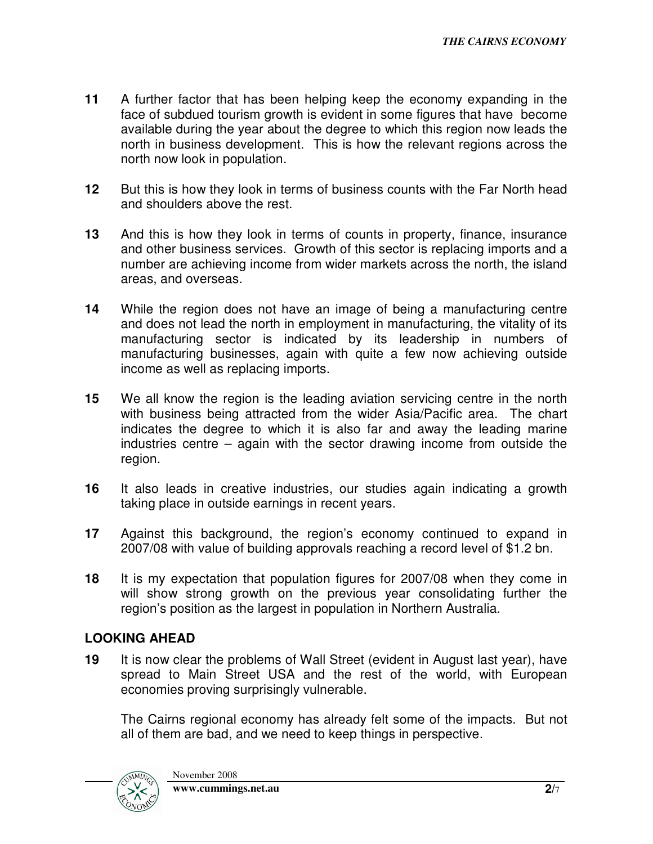- **11** A further factor that has been helping keep the economy expanding in the face of subdued tourism growth is evident in some figures that have become available during the year about the degree to which this region now leads the north in business development. This is how the relevant regions across the north now look in population.
- **12** But this is how they look in terms of business counts with the Far North head and shoulders above the rest.
- **13** And this is how they look in terms of counts in property, finance, insurance and other business services. Growth of this sector is replacing imports and a number are achieving income from wider markets across the north, the island areas, and overseas.
- **14** While the region does not have an image of being a manufacturing centre and does not lead the north in employment in manufacturing, the vitality of its manufacturing sector is indicated by its leadership in numbers of manufacturing businesses, again with quite a few now achieving outside income as well as replacing imports.
- **15** We all know the region is the leading aviation servicing centre in the north with business being attracted from the wider Asia/Pacific area. The chart indicates the degree to which it is also far and away the leading marine industries centre – again with the sector drawing income from outside the region.
- **16** It also leads in creative industries, our studies again indicating a growth taking place in outside earnings in recent years.
- **17** Against this background, the region's economy continued to expand in 2007/08 with value of building approvals reaching a record level of \$1.2 bn.
- **18** It is my expectation that population figures for 2007/08 when they come in will show strong growth on the previous year consolidating further the region's position as the largest in population in Northern Australia.

## **LOOKING AHEAD**

**19** It is now clear the problems of Wall Street (evident in August last year), have spread to Main Street USA and the rest of the world, with European economies proving surprisingly vulnerable.

The Cairns regional economy has already felt some of the impacts. But not all of them are bad, and we need to keep things in perspective.

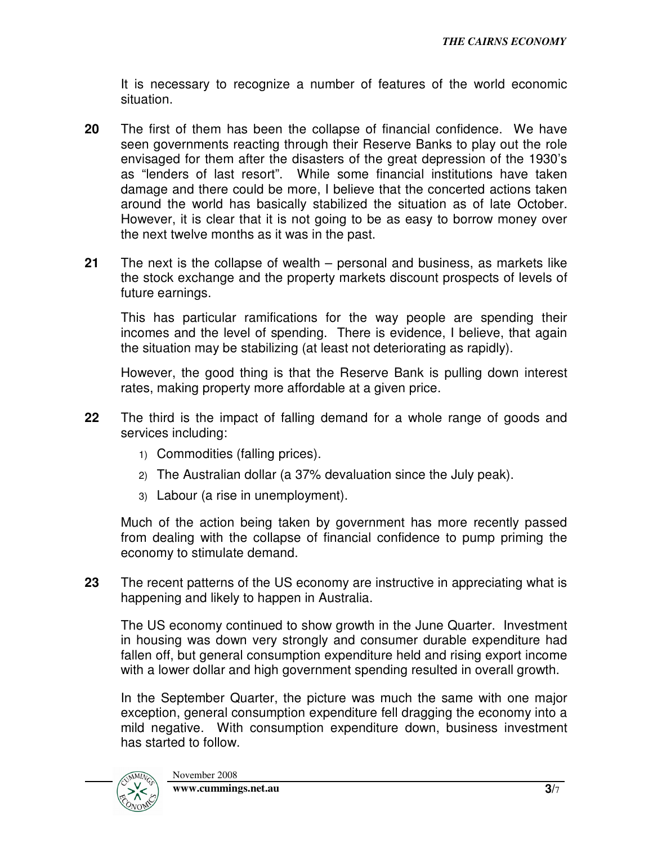It is necessary to recognize a number of features of the world economic situation.

- **20** The first of them has been the collapse of financial confidence. We have seen governments reacting through their Reserve Banks to play out the role envisaged for them after the disasters of the great depression of the 1930's as "lenders of last resort". While some financial institutions have taken damage and there could be more, I believe that the concerted actions taken around the world has basically stabilized the situation as of late October. However, it is clear that it is not going to be as easy to borrow money over the next twelve months as it was in the past.
- **21** The next is the collapse of wealth personal and business, as markets like the stock exchange and the property markets discount prospects of levels of future earnings.

This has particular ramifications for the way people are spending their incomes and the level of spending. There is evidence, I believe, that again the situation may be stabilizing (at least not deteriorating as rapidly).

However, the good thing is that the Reserve Bank is pulling down interest rates, making property more affordable at a given price.

- **22** The third is the impact of falling demand for a whole range of goods and services including:
	- 1) Commodities (falling prices).
	- 2) The Australian dollar (a 37% devaluation since the July peak).
	- 3) Labour (a rise in unemployment).

Much of the action being taken by government has more recently passed from dealing with the collapse of financial confidence to pump priming the economy to stimulate demand.

**23** The recent patterns of the US economy are instructive in appreciating what is happening and likely to happen in Australia.

The US economy continued to show growth in the June Quarter. Investment in housing was down very strongly and consumer durable expenditure had fallen off, but general consumption expenditure held and rising export income with a lower dollar and high government spending resulted in overall growth.

In the September Quarter, the picture was much the same with one major exception, general consumption expenditure fell dragging the economy into a mild negative. With consumption expenditure down, business investment has started to follow.

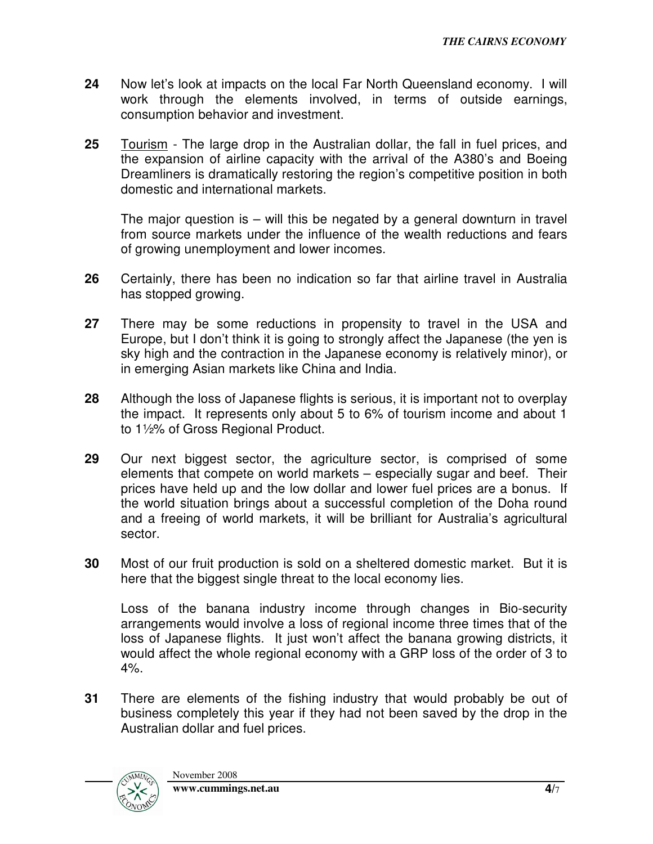- **24** Now let's look at impacts on the local Far North Queensland economy. I will work through the elements involved, in terms of outside earnings, consumption behavior and investment.
- **25** Tourism The large drop in the Australian dollar, the fall in fuel prices, and the expansion of airline capacity with the arrival of the A380's and Boeing Dreamliners is dramatically restoring the region's competitive position in both domestic and international markets.

The major question is – will this be negated by a general downturn in travel from source markets under the influence of the wealth reductions and fears of growing unemployment and lower incomes.

- **26** Certainly, there has been no indication so far that airline travel in Australia has stopped growing.
- **27** There may be some reductions in propensity to travel in the USA and Europe, but I don't think it is going to strongly affect the Japanese (the yen is sky high and the contraction in the Japanese economy is relatively minor), or in emerging Asian markets like China and India.
- **28** Although the loss of Japanese flights is serious, it is important not to overplay the impact. It represents only about 5 to 6% of tourism income and about 1 to 1½% of Gross Regional Product.
- **29** Our next biggest sector, the agriculture sector, is comprised of some elements that compete on world markets – especially sugar and beef. Their prices have held up and the low dollar and lower fuel prices are a bonus. If the world situation brings about a successful completion of the Doha round and a freeing of world markets, it will be brilliant for Australia's agricultural sector.
- **30** Most of our fruit production is sold on a sheltered domestic market. But it is here that the biggest single threat to the local economy lies.

Loss of the banana industry income through changes in Bio-security arrangements would involve a loss of regional income three times that of the loss of Japanese flights. It just won't affect the banana growing districts, it would affect the whole regional economy with a GRP loss of the order of 3 to 4%.

**31** There are elements of the fishing industry that would probably be out of business completely this year if they had not been saved by the drop in the Australian dollar and fuel prices.

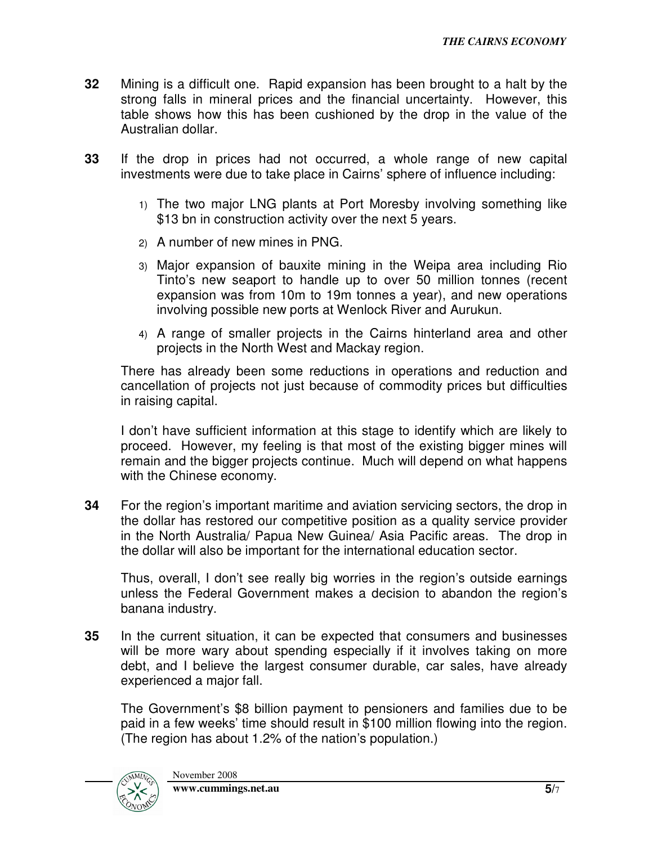- **32** Mining is a difficult one. Rapid expansion has been brought to a halt by the strong falls in mineral prices and the financial uncertainty. However, this table shows how this has been cushioned by the drop in the value of the Australian dollar.
- **33** If the drop in prices had not occurred, a whole range of new capital investments were due to take place in Cairns' sphere of influence including:
	- 1) The two major LNG plants at Port Moresby involving something like \$13 bn in construction activity over the next 5 years.
	- 2) A number of new mines in PNG.
	- 3) Major expansion of bauxite mining in the Weipa area including Rio Tinto's new seaport to handle up to over 50 million tonnes (recent expansion was from 10m to 19m tonnes a year), and new operations involving possible new ports at Wenlock River and Aurukun.
	- 4) A range of smaller projects in the Cairns hinterland area and other projects in the North West and Mackay region.

There has already been some reductions in operations and reduction and cancellation of projects not just because of commodity prices but difficulties in raising capital.

I don't have sufficient information at this stage to identify which are likely to proceed. However, my feeling is that most of the existing bigger mines will remain and the bigger projects continue. Much will depend on what happens with the Chinese economy.

**34** For the region's important maritime and aviation servicing sectors, the drop in the dollar has restored our competitive position as a quality service provider in the North Australia/ Papua New Guinea/ Asia Pacific areas. The drop in the dollar will also be important for the international education sector.

Thus, overall, I don't see really big worries in the region's outside earnings unless the Federal Government makes a decision to abandon the region's banana industry.

**35** In the current situation, it can be expected that consumers and businesses will be more wary about spending especially if it involves taking on more debt, and I believe the largest consumer durable, car sales, have already experienced a major fall.

The Government's \$8 billion payment to pensioners and families due to be paid in a few weeks' time should result in \$100 million flowing into the region. (The region has about 1.2% of the nation's population.)

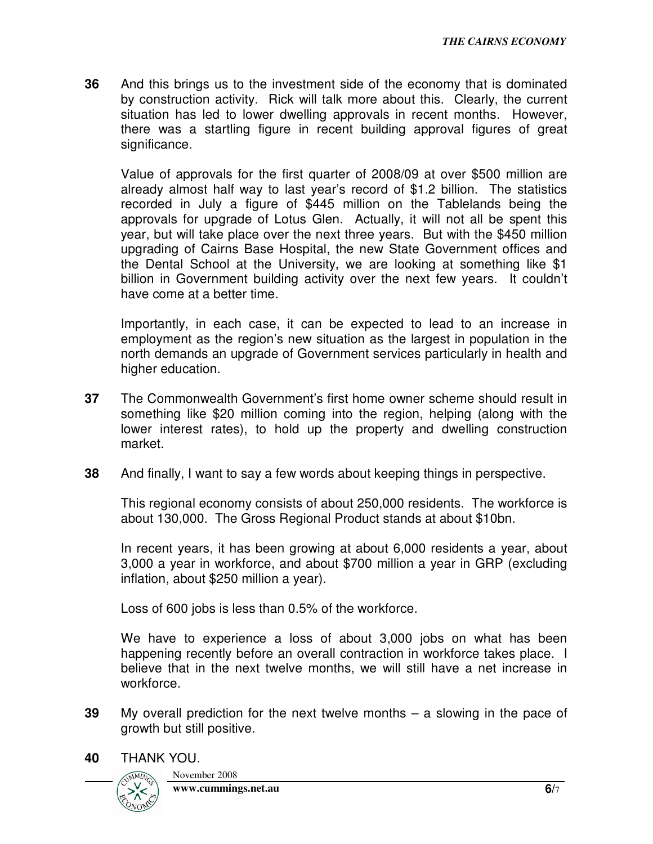**36** And this brings us to the investment side of the economy that is dominated by construction activity. Rick will talk more about this. Clearly, the current situation has led to lower dwelling approvals in recent months. However, there was a startling figure in recent building approval figures of great significance.

Value of approvals for the first quarter of 2008/09 at over \$500 million are already almost half way to last year's record of \$1.2 billion. The statistics recorded in July a figure of \$445 million on the Tablelands being the approvals for upgrade of Lotus Glen. Actually, it will not all be spent this year, but will take place over the next three years. But with the \$450 million upgrading of Cairns Base Hospital, the new State Government offices and the Dental School at the University, we are looking at something like \$1 billion in Government building activity over the next few years. It couldn't have come at a better time.

Importantly, in each case, it can be expected to lead to an increase in employment as the region's new situation as the largest in population in the north demands an upgrade of Government services particularly in health and higher education.

- **37** The Commonwealth Government's first home owner scheme should result in something like \$20 million coming into the region, helping (along with the lower interest rates), to hold up the property and dwelling construction market.
- **38** And finally, I want to say a few words about keeping things in perspective.

This regional economy consists of about 250,000 residents. The workforce is about 130,000. The Gross Regional Product stands at about \$10bn.

In recent years, it has been growing at about 6,000 residents a year, about 3,000 a year in workforce, and about \$700 million a year in GRP (excluding inflation, about \$250 million a year).

Loss of 600 jobs is less than 0.5% of the workforce.

We have to experience a loss of about 3,000 jobs on what has been happening recently before an overall contraction in workforce takes place. I believe that in the next twelve months, we will still have a net increase in workforce.

- **39** My overall prediction for the next twelve months a slowing in the pace of growth but still positive.
- **40** THANK YOU.



November 2008